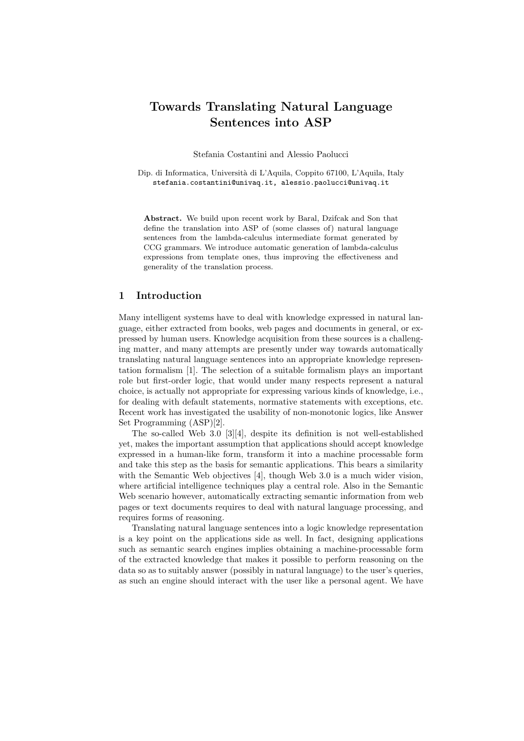# Towards Translating Natural Language Sentences into ASP

Stefania Costantini and Alessio Paolucci

Dip. di Informatica, Universit`a di L'Aquila, Coppito 67100, L'Aquila, Italy stefania.costantini@univaq.it, alessio.paolucci@univaq.it

Abstract. We build upon recent work by Baral, Dzifcak and Son that define the translation into ASP of (some classes of) natural language sentences from the lambda-calculus intermediate format generated by CCG grammars. We introduce automatic generation of lambda-calculus expressions from template ones, thus improving the effectiveness and generality of the translation process.

# 1 Introduction

Many intelligent systems have to deal with knowledge expressed in natural language, either extracted from books, web pages and documents in general, or expressed by human users. Knowledge acquisition from these sources is a challenging matter, and many attempts are presently under way towards automatically translating natural language sentences into an appropriate knowledge representation formalism [1]. The selection of a suitable formalism plays an important role but first-order logic, that would under many respects represent a natural choice, is actually not appropriate for expressing various kinds of knowledge, i.e., for dealing with default statements, normative statements with exceptions, etc. Recent work has investigated the usability of non-monotonic logics, like Answer Set Programming (ASP)[2].

The so-called Web 3.0 [3][4], despite its definition is not well-established yet, makes the important assumption that applications should accept knowledge expressed in a human-like form, transform it into a machine processable form and take this step as the basis for semantic applications. This bears a similarity with the Semantic Web objectives [4], though Web 3.0 is a much wider vision, where artificial intelligence techniques play a central role. Also in the Semantic Web scenario however, automatically extracting semantic information from web pages or text documents requires to deal with natural language processing, and requires forms of reasoning.

Translating natural language sentences into a logic knowledge representation is a key point on the applications side as well. In fact, designing applications such as semantic search engines implies obtaining a machine-processable form of the extracted knowledge that makes it possible to perform reasoning on the data so as to suitably answer (possibly in natural language) to the user's queries, as such an engine should interact with the user like a personal agent. We have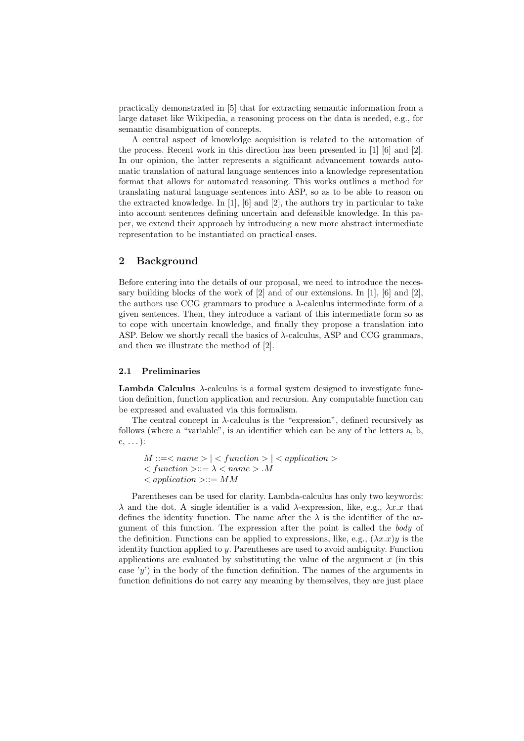practically demonstrated in [5] that for extracting semantic information from a large dataset like Wikipedia, a reasoning process on the data is needed, e.g., for semantic disambiguation of concepts.

A central aspect of knowledge acquisition is related to the automation of the process. Recent work in this direction has been presented in [1] [6] and [2]. In our opinion, the latter represents a significant advancement towards automatic translation of natural language sentences into a knowledge representation format that allows for automated reasoning. This works outlines a method for translating natural language sentences into ASP, so as to be able to reason on the extracted knowledge. In [1], [6] and [2], the authors try in particular to take into account sentences defining uncertain and defeasible knowledge. In this paper, we extend their approach by introducing a new more abstract intermediate representation to be instantiated on practical cases.

# 2 Background

Before entering into the details of our proposal, we need to introduce the necessary building blocks of the work of [2] and of our extensions. In [1], [6] and [2], the authors use CCG grammars to produce a  $\lambda$ -calculus intermediate form of a given sentences. Then, they introduce a variant of this intermediate form so as to cope with uncertain knowledge, and finally they propose a translation into ASP. Below we shortly recall the basics of  $\lambda$ -calculus, ASP and CCG grammars, and then we illustrate the method of [2].

# 2.1 Preliminaries

Lambda Calculus  $\lambda$ -calculus is a formal system designed to investigate function definition, function application and recursion. Any computable function can be expressed and evaluated via this formalism.

The central concept in  $\lambda$ -calculus is the "expression", defined recursively as follows (where a "variable", is an identifier which can be any of the letters a, b,  $c, \ldots$ :

 $M ::=  =$  $\langle$  function  $\rangle ::= \lambda \langle$  name  $\rangle$ .*M*  $\langle \alpha pplied to \rangle ::= MM$ 

Parentheses can be used for clarity. Lambda-calculus has only two keywords:  $λ$  and the dot. A single identifier is a valid  $λ$ -expression, like, e.g.,  $λx.x$  that defines the identity function. The name after the  $\lambda$  is the identifier of the argument of this function. The expression after the point is called the body of the definition. Functions can be applied to expressions, like, e.g.,  $(\lambda x.x)y$  is the identity function applied to y. Parentheses are used to avoid ambiguity. Function applications are evaluated by substituting the value of the argument  $x$  (in this case  $y'$ ) in the body of the function definition. The names of the arguments in function definitions do not carry any meaning by themselves, they are just place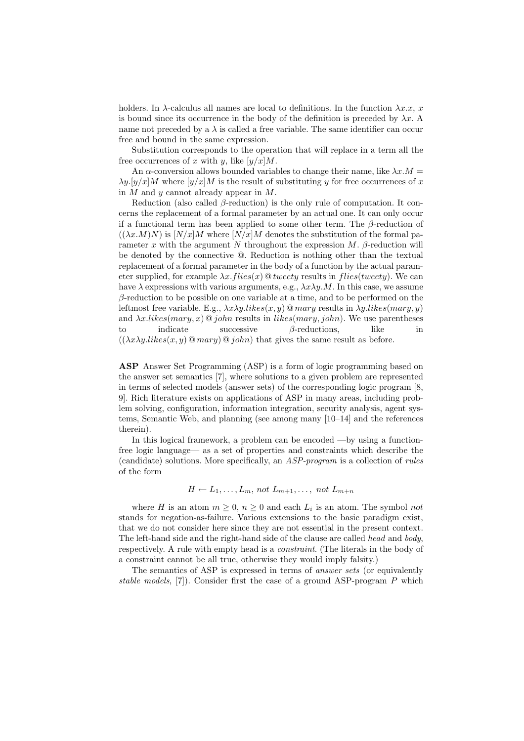holders. In  $\lambda$ -calculus all names are local to definitions. In the function  $\lambda x.x$ , x is bound since its occurrence in the body of the definition is preceded by  $\lambda x$ . A name not preceded by a  $\lambda$  is called a free variable. The same identifier can occur free and bound in the same expression.

Substitution corresponds to the operation that will replace in a term all the free occurrences of x with y, like  $[y/x]M$ .

An  $\alpha$ -conversion allows bounded variables to change their name, like  $\lambda x.M =$  $\lambda y. [y/x]$ M where  $[y/x]$ M is the result of substituting y for free occurrences of x in  $M$  and  $\gamma$  cannot already appear in  $M$ .

Reduction (also called  $\beta$ -reduction) is the only rule of computation. It concerns the replacement of a formal parameter by an actual one. It can only occur if a functional term has been applied to some other term. The  $\beta$ -reduction of  $((\lambda x.M)N)$  is  $[N/x]M$  where  $[N/x]M$  denotes the substitution of the formal parameter x with the argument N throughout the expression  $M$ .  $\beta$ -reduction will be denoted by the connective @. Reduction is nothing other than the textual replacement of a formal parameter in the body of a function by the actual parameter supplied, for example  $\lambda x$ . flies(x) @ tweety results in flies(tweety). We can have  $\lambda$  expressions with various arguments, e.g.,  $\lambda x \lambda y.M$ . In this case, we assume  $\beta$ -reduction to be possible on one variable at a time, and to be performed on the leftmost free variable. E.g.,  $\lambda x \lambda y$ .likes $(x, y)$  @ mary results in  $\lambda y$ .likes(mary, y) and  $\lambda x.$ *likes*( $mary, x$ ) @ *john* results in *likes*( $mary, john$ ). We use parentheses to indicate successive β-reductions, like in  $((\lambda x \lambda y. likes(x, y) \mathcal{Q} \text{ many}) \mathcal{Q} \text{,}$  that gives the same result as before.

ASP Answer Set Programming (ASP) is a form of logic programming based on the answer set semantics [7], where solutions to a given problem are represented in terms of selected models (answer sets) of the corresponding logic program [8, 9]. Rich literature exists on applications of ASP in many areas, including problem solving, configuration, information integration, security analysis, agent systems, Semantic Web, and planning (see among many [10–14] and the references therein).

In this logical framework, a problem can be encoded —by using a functionfree logic language— as a set of properties and constraints which describe the (candidate) solutions. More specifically, an ASP-program is a collection of rules of the form

$$
H \leftarrow L_1, \ldots, L_m, \; not \; L_{m+1}, \ldots, \; not \; L_{m+n}
$$

where H is an atom  $m \geq 0$ ,  $n \geq 0$  and each  $L_i$  is an atom. The symbol not stands for negation-as-failure. Various extensions to the basic paradigm exist, that we do not consider here since they are not essential in the present context. The left-hand side and the right-hand side of the clause are called head and body, respectively. A rule with empty head is a constraint. (The literals in the body of a constraint cannot be all true, otherwise they would imply falsity.)

The semantics of ASP is expressed in terms of answer sets (or equivalently stable models, [7]). Consider first the case of a ground ASP-program  $P$  which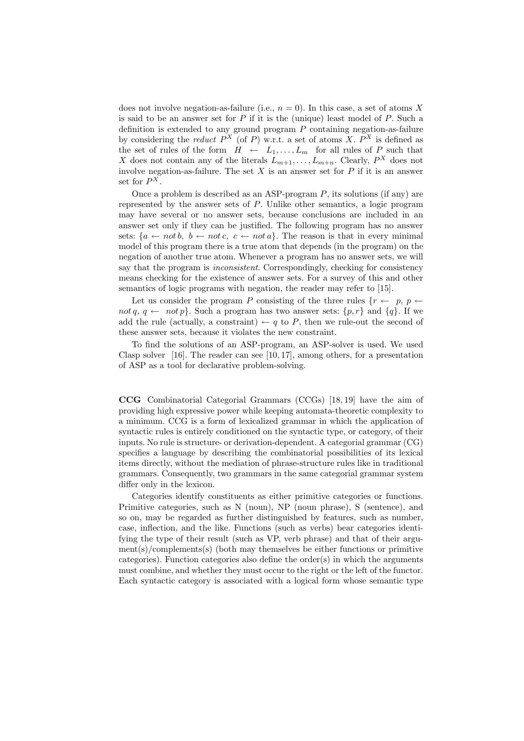does not involve negation-as-failure (i.e.,  $n = 0$ ). In this case, a set of atoms X is said to be an answer set for  $P$  if it is the (unique) least model of  $P$ . Such a definition is extended to any ground program  $P$  containing negation-as-failure by considering the *reduct*  $P^X$  (of P) w.r.t. a set of atoms X.  $P^X$  is defined as the set of rules of the form  $H \leftarrow L_1, \ldots, L_m$  for all rules of P such that X does not contain any of the literals  $L_{m+1}, \ldots, L_{m+n}$ . Clearly,  $P^X$  does not involve negation-as-failure. The set  $X$  is an answer set for  $P$  if it is an answer set for  $P^X$ .

Once a problem is described as an ASP-program  $P$ , its solutions (if any) are represented by the answer sets of P. Unlike other semantics, a logic program may have several or no answer sets, because conclusions are included in an answer set only if they can be justified. The following program has no answer sets:  ${a \leftarrow not b, b \leftarrow not c, c \leftarrow not a}.$  The reason is that in every minimal model of this program there is a true atom that depends (in the program) on the negation of another true atom. Whenever a program has no answer sets, we will say that the program is *inconsistent*. Correspondingly, checking for consistency means checking for the existence of answer sets. For a survey of this and other semantics of logic programs with negation, the reader may refer to [15].

Let us consider the program P consisting of the three rules  $\{r \leftarrow p, p \leftarrow$ not q,  $q \leftarrow$  not p. Such a program has two answer sets:  $\{p, r\}$  and  $\{q\}$ . If we add the rule (actually, a constraint)  $\leftarrow q$  to P, then we rule-out the second of these answer sets, because it violates the new constraint.

To find the solutions of an ASP-program, an ASP-solver is used. We used Clasp solver [16]. The reader can see [10, 17], among others, for a presentation of ASP as a tool for declarative problem-solving.

CCG Combinatorial Categorial Grammars (CCGs) [18, 19] have the aim of providing high expressive power while keeping automata-theoretic complexity to a minimum. CCG is a form of lexicalized grammar in which the application of syntactic rules is entirely conditioned on the syntactic type, or category, of their inputs. No rule is structure- or derivation-dependent. A categorial grammar (CG) specifies a language by describing the combinatorial possibilities of its lexical items directly, without the mediation of phrase-structure rules like in traditional grammars. Consequently, two grammars in the same categorial grammar system differ only in the lexicon.

Categories identify constituents as either primitive categories or functions. Primitive categories, such as N (noun), NP (noun phrase), S (sentence), and so on, may be regarded as further distinguished by features, such as number, case, inflection, and the like. Functions (such as verbs) bear categories identifying the type of their result (such as VP, verb phrase) and that of their argu $ment(s)/complements(s)$  (both may themselves be either functions or primitive categories). Function categories also define the order(s) in which the arguments must combine, and whether they must occur to the right or the left of the functor. Each syntactic category is associated with a logical form whose semantic type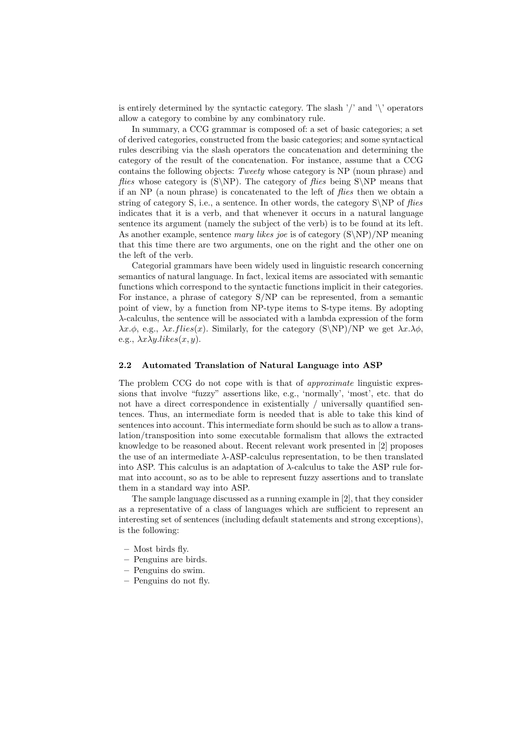is entirely determined by the syntactic category. The slash  $\prime$  and  $\prime$  operators allow a category to combine by any combinatory rule.

In summary, a CCG grammar is composed of: a set of basic categories; a set of derived categories, constructed from the basic categories; and some syntactical rules describing via the slash operators the concatenation and determining the category of the result of the concatenation. For instance, assume that a CCG contains the following objects: Tweety whose category is NP (noun phrase) and flies whose category is  $(S\NP)$ . The category of flies being  $S\NP$  means that if an NP (a noun phrase) is concatenated to the left of flies then we obtain a string of category S, i.e., a sentence. In other words, the category  $S\$ indicates that it is a verb, and that whenever it occurs in a natural language sentence its argument (namely the subject of the verb) is to be found at its left. As another example, sentence mary likes joe is of category  $(S\NP)/NP$  meaning that this time there are two arguments, one on the right and the other one on the left of the verb.

Categorial grammars have been widely used in linguistic research concerning semantics of natural language. In fact, lexical items are associated with semantic functions which correspond to the syntactic functions implicit in their categories. For instance, a phrase of category S/NP can be represented, from a semantic point of view, by a function from NP-type items to S-type items. By adopting λ-calculus, the sentence will be associated with a lambda expression of the form  $\lambda x.\phi$ , e.g.,  $\lambda x.$  flies(x). Similarly, for the category (S\NP)/NP we get  $\lambda x.\lambda \phi$ , e.g.,  $\lambda x \lambda y$ .likes $(x, y)$ .

#### 2.2 Automated Translation of Natural Language into ASP

The problem CCG do not cope with is that of *approximate* linguistic expressions that involve "fuzzy" assertions like, e.g., 'normally', 'most', etc. that do not have a direct correspondence in existentially / universally quantified sentences. Thus, an intermediate form is needed that is able to take this kind of sentences into account. This intermediate form should be such as to allow a translation/transposition into some executable formalism that allows the extracted knowledge to be reasoned about. Recent relevant work presented in [2] proposes the use of an intermediate  $\lambda$ -ASP-calculus representation, to be then translated into ASP. This calculus is an adaptation of  $\lambda$ -calculus to take the ASP rule format into account, so as to be able to represent fuzzy assertions and to translate them in a standard way into ASP.

The sample language discussed as a running example in [2], that they consider as a representative of a class of languages which are sufficient to represent an interesting set of sentences (including default statements and strong exceptions), is the following:

- Most birds fly.
- Penguins are birds.
- Penguins do swim.
- Penguins do not fly.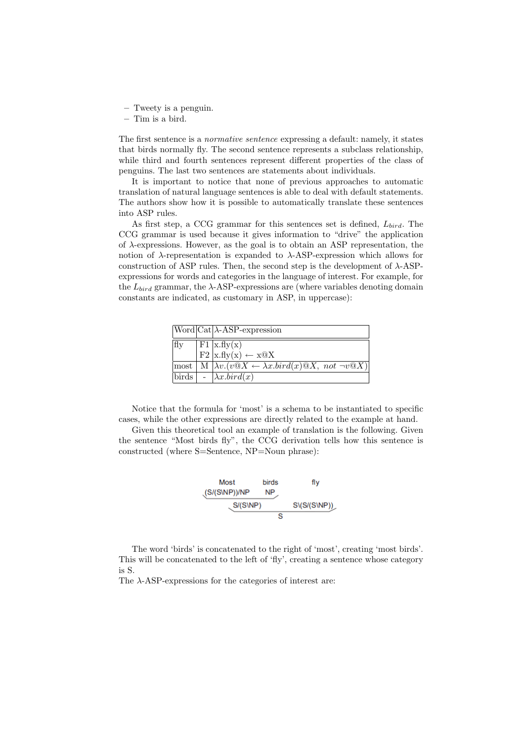– Tweety is a penguin.

– Tim is a bird.

The first sentence is a normative sentence expressing a default: namely, it states that birds normally fly. The second sentence represents a subclass relationship, while third and fourth sentences represent different properties of the class of penguins. The last two sentences are statements about individuals.

It is important to notice that none of previous approaches to automatic translation of natural language sentences is able to deal with default statements. The authors show how it is possible to automatically translate these sentences into ASP rules.

As first step, a CCG grammar for this sentences set is defined,  $L_{bird}$ . The CCG grammar is used because it gives information to "drive" the application of λ-expressions. However, as the goal is to obtain an ASP representation, the notion of  $\lambda$ -representation is expanded to  $\lambda$ -ASP-expression which allows for construction of ASP rules. Then, the second step is the development of  $\lambda$ -ASPexpressions for words and categories in the language of interest. For example, for the  $L_{bird}$  grammar, the  $\lambda$ -ASP-expressions are (where variables denoting domain constants are indicated, as customary in ASP, in uppercase):

|     | $\text{Word} \text{Cat} \lambda\text{-ASP-expression}$                                                                                                                   |
|-----|--------------------------------------------------------------------------------------------------------------------------------------------------------------------------|
| fly | $\vert$ F1 $\vert$ x.fly(x)                                                                                                                                              |
|     | $F2   x.fly(x) \leftarrow x@X$                                                                                                                                           |
|     | $\left  \text{most} \mid \overline{M} \right  \left  \lambda v.(v \mathbb{Q}X \leftarrow \lambda x.\text{bird}(x) \mathbb{Q}X, \text{ not } \neg v \mathbb{Q}X) \right $ |
|     | birds   - $ \lambda x . \text{bird}(x) $                                                                                                                                 |

Notice that the formula for 'most' is a schema to be instantiated to specific cases, while the other expressions are directly related to the example at hand.

Given this theoretical tool an example of translation is the following. Given the sentence "Most birds fly", the CCG derivation tells how this sentence is constructed (where S=Sentence, NP=Noun phrase):

| Most                      | birds                    | fly |
|---------------------------|--------------------------|-----|
| $(S/(S\backslash NP))/NP$ | NP                       |     |
| $S/(S\backslash NP)$      | $S/(S/(S\backslash NP))$ |     |
| S                         | $S$                      |     |

The word 'birds' is concatenated to the right of 'most', creating 'most birds'. This will be concatenated to the left of 'fly', creating a sentence whose category is S.

The  $\lambda$ -ASP-expressions for the categories of interest are: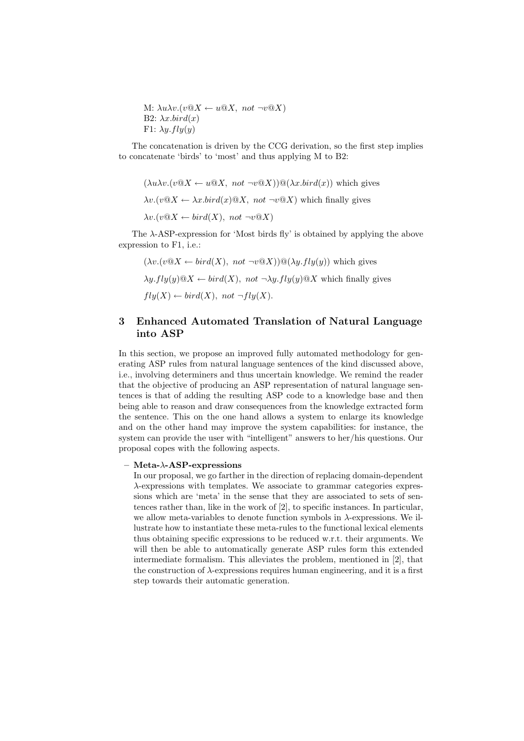M:  $\lambda u \lambda v.(v \mathcal{Q} X \leftarrow u \mathcal{Q} X, not \neg v \mathcal{Q} X)$ B2:  $\lambda x. \text{bird}(x)$ F1:  $\lambda y. fly(y)$ 

The concatenation is driven by the CCG derivation, so the first step implies to concatenate 'birds' to 'most' and thus applying M to B2:

 $(\lambda u \lambda v.(v \otimes X \leftarrow u \otimes X, not \neg v \otimes X)) \otimes (\lambda x . bird(x))$  which gives  $\lambda v.(v \mathbb{Q}X \leftarrow \lambda x.\text{bird}(x) \mathbb{Q}X$ , not  $\neg v \mathbb{Q}X$ ) which finally gives  $\lambda v.(v \mathbb{Q}X \leftarrow bird(X), not \neg v \mathbb{Q}X)$ 

The  $\lambda$ -ASP-expression for 'Most birds fly' is obtained by applying the above expression to F1, i.e.:

(λv.(v@X ← bird(X), not ¬v@X))@(λy.fly(y)) which gives λy.fly(y)@X ← bird(X), not ¬λy.fly(y)@X which finally gives fly(X) ← bird(X), not ¬fly(X).

# 3 Enhanced Automated Translation of Natural Language into ASP

In this section, we propose an improved fully automated methodology for generating ASP rules from natural language sentences of the kind discussed above, i.e., involving determiners and thus uncertain knowledge. We remind the reader that the objective of producing an ASP representation of natural language sentences is that of adding the resulting ASP code to a knowledge base and then being able to reason and draw consequences from the knowledge extracted form the sentence. This on the one hand allows a system to enlarge its knowledge and on the other hand may improve the system capabilities: for instance, the system can provide the user with "intelligent" answers to her/his questions. Our proposal copes with the following aspects.

#### $-$  Meta- $\lambda$ -ASP-expressions

In our proposal, we go farther in the direction of replacing domain-dependent λ-expressions with templates. We associate to grammar categories expressions which are 'meta' in the sense that they are associated to sets of sentences rather than, like in the work of [2], to specific instances. In particular, we allow meta-variables to denote function symbols in  $\lambda$ -expressions. We illustrate how to instantiate these meta-rules to the functional lexical elements thus obtaining specific expressions to be reduced w.r.t. their arguments. We will then be able to automatically generate ASP rules form this extended intermediate formalism. This alleviates the problem, mentioned in [2], that the construction of  $\lambda$ -expressions requires human engineering, and it is a first step towards their automatic generation.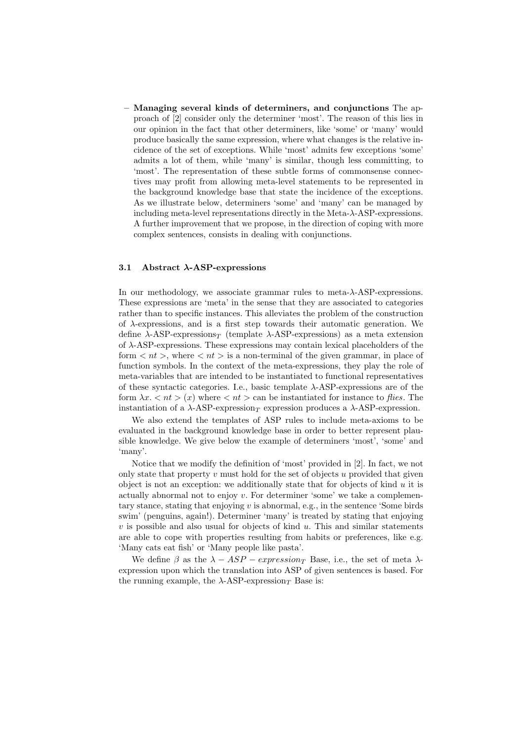– Managing several kinds of determiners, and conjunctions The approach of [2] consider only the determiner 'most'. The reason of this lies in our opinion in the fact that other determiners, like 'some' or 'many' would produce basically the same expression, where what changes is the relative incidence of the set of exceptions. While 'most' admits few exceptions 'some' admits a lot of them, while 'many' is similar, though less committing, to 'most'. The representation of these subtle forms of commonsense connectives may profit from allowing meta-level statements to be represented in the background knowledge base that state the incidence of the exceptions. As we illustrate below, determiners 'some' and 'many' can be managed by including meta-level representations directly in the Meta-λ-ASP-expressions. A further improvement that we propose, in the direction of coping with more complex sentences, consists in dealing with conjunctions.

#### 3.1 Abstract λ-ASP-expressions

In our methodology, we associate grammar rules to meta- $\lambda$ -ASP-expressions. These expressions are 'meta' in the sense that they are associated to categories rather than to specific instances. This alleviates the problem of the construction of  $\lambda$ -expressions, and is a first step towards their automatic generation. We define  $\lambda$ -ASP-expressions<sub>T</sub> (template  $\lambda$ -ASP-expressions) as a meta extension of  $\lambda$ -ASP-expressions. These expressions may contain lexical placeholders of the form  $\langle nt \rangle$ , where  $\langle nt \rangle$  is a non-terminal of the given grammar, in place of function symbols. In the context of the meta-expressions, they play the role of meta-variables that are intended to be instantiated to functional representatives of these syntactic categories. I.e., basic template  $\lambda$ -ASP-expressions are of the form  $\lambda x \leq nt > (x)$  where  $\langle nt \rangle$  can be instantiated for instance to flies. The instantiation of a  $\lambda$ -ASP-expression<sub>T</sub> expression produces a  $\lambda$ -ASP-expression.

We also extend the templates of ASP rules to include meta-axioms to be evaluated in the background knowledge base in order to better represent plausible knowledge. We give below the example of determiners 'most', 'some' and 'many'.

Notice that we modify the definition of 'most' provided in [2]. In fact, we not only state that property v must hold for the set of objects u provided that given object is not an exception: we additionally state that for objects of kind  $u$  it is actually abnormal not to enjoy  $v$ . For determiner 'some' we take a complementary stance, stating that enjoying v is abnormal, e.g., in the sentence 'Some birds swim' (penguins, again!). Determiner 'many' is treated by stating that enjoying  $v$  is possible and also usual for objects of kind  $u$ . This and similar statements are able to cope with properties resulting from habits or preferences, like e.g. 'Many cats eat fish' or 'Many people like pasta'.

We define  $\beta$  as the  $\lambda - ASP - expression_T$  Base, i.e., the set of meta  $\lambda$ expression upon which the translation into ASP of given sentences is based. For the running example, the  $\lambda$ -ASP-expression<sub>T</sub> Base is: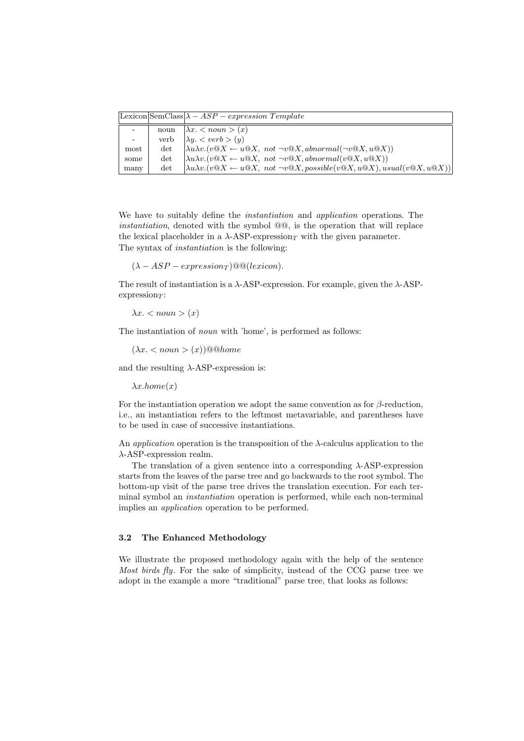|                          |        | Lexicon SemClass $\lambda - ASP - expression$ Template                                                                                                                           |
|--------------------------|--------|----------------------------------------------------------------------------------------------------------------------------------------------------------------------------------|
|                          | noun   | $ \lambda x.  < noun > (x)$                                                                                                                                                      |
| $\overline{\phantom{a}}$ | verb   | $ \lambda y  < v e r b > (y)$                                                                                                                                                    |
| most                     | $\det$ | $\left[\lambda u \lambda v \cdot (v \circledcirc X \leftarrow u \circledcirc X, \; not \; \neg v \circledcirc X, \; abnormal(\neg v \circledcirc X, \; u \circledcirc X)\right)$ |
| some                     | $\det$ | $\lambda u \lambda v.(v \otimes X \leftarrow u \otimes X, not \neg v \otimes X, abnormal(v \otimes X, u \otimes X))$                                                             |
| many                     | $\det$ | $(\lambda u \lambda v.(v \otimes X \leftarrow u \otimes X, not \neg v \otimes X, possible(v \otimes X, u \otimes X), usual(v \otimes X, u \otimes X)))$                          |

We have to suitably define the instantiation and application operations. The instantiation, denoted with the symbol @@, is the operation that will replace the lexical placeholder in a  $\lambda$ -ASP-expression<sub>T</sub> with the given parameter. The syntax of instantiation is the following:

 $(\lambda - ASP - expression_T)@@(lexicon).$ 

The result of instantiation is a  $\lambda$ -ASP-expression. For example, given the  $\lambda$ -ASP- $\exp$ ression $\tau$ :

 $\lambda x. < noun > (x)$ 

The instantiation of noun with 'home', is performed as follows:

 $(\lambda x. < noun > (x))@0home$ 

and the resulting  $\lambda$ -ASP-expression is:

 $\lambda x.home(x)$ 

For the instantiation operation we adopt the same convention as for  $\beta$ -reduction, i.e., an instantiation refers to the leftmost metavariable, and parentheses have to be used in case of successive instantiations.

An *application* operation is the transposition of the  $\lambda$ -calculus application to the λ-ASP-expression realm.

The translation of a given sentence into a corresponding  $\lambda$ -ASP-expression starts from the leaves of the parse tree and go backwards to the root symbol. The bottom-up visit of the parse tree drives the translation execution. For each terminal symbol an instantiation operation is performed, while each non-terminal implies an application operation to be performed.

#### 3.2 The Enhanced Methodology

We illustrate the proposed methodology again with the help of the sentence *Most birds fly.* For the sake of simplicity, instead of the CCG parse tree we adopt in the example a more "traditional" parse tree, that looks as follows: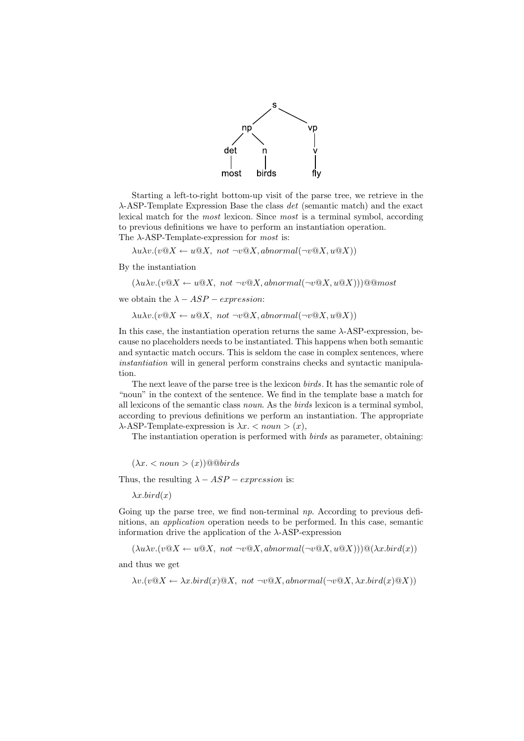

Starting a left-to-right bottom-up visit of the parse tree, we retrieve in the  $\lambda$ -ASP-Template Expression Base the class det (semantic match) and the exact lexical match for the most lexicon. Since most is a terminal symbol, according to previous definitions we have to perform an instantiation operation. The  $\lambda$ -ASP-Template-expression for *most* is:

 $\lambda u \lambda v. (v \mathbb{Q}X \leftarrow u \mathbb{Q}X, not \neg v \mathbb{Q}X, abnormal(\neg v \mathbb{Q}X, u \mathbb{Q}X))$ 

By the instantiation

 $(\lambda u \lambda v.(v \mathbb{Q}X \leftarrow u \mathbb{Q}X, not \neg v \mathbb{Q}X, abnormal(\neg v \mathbb{Q}X, u \mathbb{Q}X)))\mathbb{Q}omost$ 

we obtain the  $\lambda - ASP - expression$ :

 $\lambda u \lambda v.(v \mathbb{Q}X \leftarrow u \mathbb{Q}X, not \neg v \mathbb{Q}X, abnormal(\neg v \mathbb{Q}X, u \mathbb{Q}X))$ 

In this case, the instantiation operation returns the same  $\lambda$ -ASP-expression, because no placeholders needs to be instantiated. This happens when both semantic and syntactic match occurs. This is seldom the case in complex sentences, where instantiation will in general perform constrains checks and syntactic manipulation.

The next leave of the parse tree is the lexicon birds. It has the semantic role of "noun" in the context of the sentence. We find in the template base a match for all lexicons of the semantic class noun. As the birds lexicon is a terminal symbol, according to previous definitions we perform an instantiation. The appropriate  $\lambda$ -ASP-Template-expression is  $\lambda x$ .  $\langle n \rangle$  noun  $\langle x \rangle$ ,

The instantiation operation is performed with birds as parameter, obtaining:

 $(\lambda x. < noun > (x))$ @@birds

Thus, the resulting  $\lambda - ASP - expression$  is:

 $\lambda x. bird(x)$ 

Going up the parse tree, we find non-terminal np. According to previous definitions, an application operation needs to be performed. In this case, semantic information drive the application of the  $\lambda$ -ASP-expression

 $(\lambda u \lambda v.(v \mathbb{Q}X \leftarrow u \mathbb{Q}X, not \neg v \mathbb{Q}X, abnormal(\neg v \mathbb{Q}X, u \mathbb{Q}X))\mathbb{Q}(\lambda x.bird(x))$ 

and thus we get

$$
\lambda v.(v \otimes X \leftarrow \lambda x . bird(x) \otimes X, not \neg v \otimes X , abnormal(\neg v \otimes X, \lambda x . bird(x) \otimes X))
$$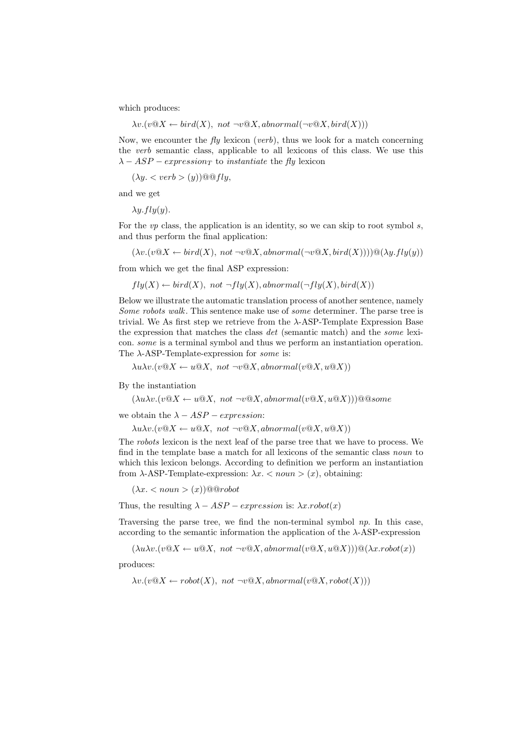which produces:

 $\lambda v.(v \mathbb{Q}X \leftarrow bird(X), not \neg v \mathbb{Q}X, abnormal(\neg v \mathbb{Q}X, bird(X)))$ 

Now, we encounter the  $fly$  lexicon (verb), thus we look for a match concerning the verb semantic class, applicable to all lexicons of this class. We use this  $\lambda - ASP - expression_T$  to *instantiate* the fly lexicon

 $(\lambda y. < verb > (y))@@fly,$ 

and we get

 $\lambda y. fly(y)$ .

For the  $vp$  class, the application is an identity, so we can skip to root symbol s, and thus perform the final application:

 $(\lambda v.(v \mathbb{Q}X \leftarrow bird(X), not \neg v \mathbb{Q}X, abnormal(\neg v \mathbb{Q}X, bird(X))))\mathbb{Q}(\lambda y.fly(y))$ 

from which we get the final ASP expression:

 $fly(X) \leftarrow bird(X), not \neg fly(X), abnormal(\neg fly(X),bird(X))$ 

Below we illustrate the automatic translation process of another sentence, namely Some robots walk. This sentence make use of some determiner. The parse tree is trivial. We As first step we retrieve from the  $\lambda$ -ASP-Template Expression Base the expression that matches the class det (semantic match) and the some lexicon. some is a terminal symbol and thus we perform an instantiation operation. The  $\lambda$ -ASP-Template-expression for *some* is:

 $\lambda u \lambda v. (v \mathbb{Q}X \leftarrow u \mathbb{Q}X, not \neg v \mathbb{Q}X, abnormal(v \mathbb{Q}X, u \mathbb{Q}X))$ 

By the instantiation

 $(\lambda u \lambda v.(v \mathbb{Q}X \leftarrow u \mathbb{Q}X, not \neg v \mathbb{Q}X, abnormal(v \mathbb{Q}X, u \mathbb{Q}X)))\mathbb{Q}^\circ$ some

we obtain the  $\lambda - ASP - expression$ :

 $\lambda u \lambda v. (v \mathbb{Q}X \leftarrow u \mathbb{Q}X, not \neg v \mathbb{Q}X, abnormal(v \mathbb{Q}X, u \mathbb{Q}X))$ 

The *robots* lexicon is the next leaf of the parse tree that we have to process. We find in the template base a match for all lexicons of the semantic class noun to which this lexicon belongs. According to definition we perform an instantiation from  $\lambda$ -ASP-Template-expression:  $\lambda x$ .  $\langle n \rangle$  noun  $\langle x \rangle$ , obtaining:

 $(\lambda x. < noun > (x))@Q\nobot$ 

Thus, the resulting  $\lambda - ASP - expression$  is:  $\lambda x.robot(x)$ 

Traversing the parse tree, we find the non-terminal symbol  $np$ . In this case, according to the semantic information the application of the  $\lambda$ -ASP-expression

 $(\lambda u \lambda v.(v \otimes X \leftarrow u \otimes X, not \neg v \otimes X, abnormal(v \otimes X, u \otimes X))) \otimes (\lambda x. robot(x))$ 

produces:

$$
\lambda v.(v@X \leftarrow robot(X), not \neg v@X, abnormal(v@X, robot(X)))
$$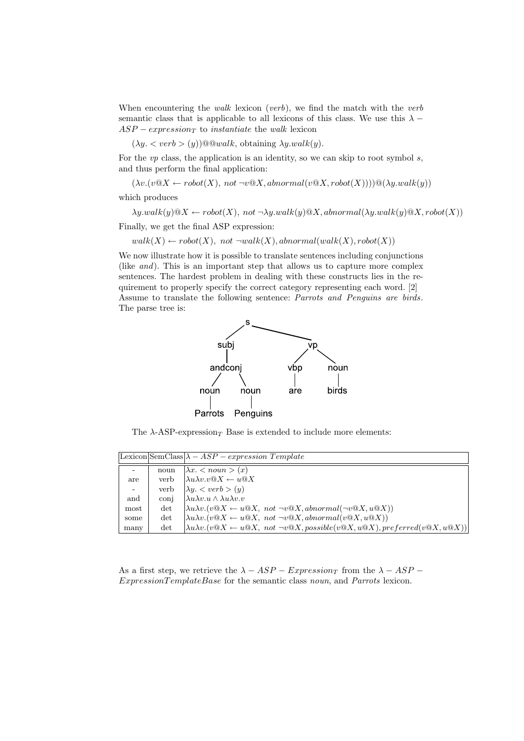When encountering the walk lexicon (verb), we find the match with the verb semantic class that is applicable to all lexicons of this class. We use this  $\lambda$  −  $ASP - expression_T$  to instantiate the walk lexicon

 $(\lambda y. < verb > (y))@@walk$ , obtaining  $\lambda y. walk(y)$ .

For the  $vp$  class, the application is an identity, so we can skip to root symbol  $s$ , and thus perform the final application:

 $(\lambda v.(v \otimes X \leftarrow robot(X), not \neg v \otimes X, abnormal(v \otimes X, robot(X)))) \otimes (\lambda y.walk(y))$ 

which produces

 $\lambda y. walk(y) @ X \leftarrow robot(X), not \neg \lambda y. walk(y) @ X, abnormal(\lambda y. walk(y) @ X, robot(X))$ 

Finally, we get the final ASP expression:

 $walk(X) \leftarrow robot(X), not \neg walk(X), abnormal(walk(X), robot(X))$ 

We now illustrate how it is possible to translate sentences including conjunctions (like and). This is an important step that allows us to capture more complex sentences. The hardest problem in dealing with these constructs lies in the requirement to properly specify the correct category representing each word. [2] Assume to translate the following sentence: Parrots and Penguins are birds. The parse tree is:



The  $\lambda$ -ASP-expression<sub>T</sub> Base is extended to include more elements:

|                          |        | Lexicon SemClass $\lambda - ASP$ – expression Template                                                                                                                               |
|--------------------------|--------|--------------------------------------------------------------------------------------------------------------------------------------------------------------------------------------|
|                          | noun   | $\lambda x.$ < noun > $(x)$                                                                                                                                                          |
| are                      | verb   | $\lambda u \lambda v.v @ X \leftarrow u @ X$                                                                                                                                         |
| $\overline{\phantom{a}}$ | verb   | $\lambda y. < verb > (y)$                                                                                                                                                            |
| and                      | conj   | $\lambda u \lambda v.u \wedge \lambda u \lambda v.v$                                                                                                                                 |
| most                     | $\det$ | $\left[\lambda u \lambda v.(v \mathbb{Q}X \leftarrow u \mathbb{Q}X, not \neg v \mathbb{Q}X, abnormal(\neg v \mathbb{Q}X, u \mathbb{Q}X)\right)\right]$                               |
| some                     | $\det$ | $\left(\lambda u \lambda v.(v \otimes X \leftarrow u \otimes X, not \neg v \otimes X, abnormal(v \otimes X, u \otimes X))\right)$                                                    |
| many                     | $\det$ | $ \lambda u \lambda v. (v \mathcal{Q} X \leftarrow u \mathcal{Q} X, not -v \mathcal{Q} X, possible(v \mathcal{Q} X, u \mathcal{Q} X), preferred(v \mathcal{Q} X, u \mathcal{Q} X)) $ |

As a first step, we retrieve the  $\lambda - ASP - Expression_T$  from the  $\lambda -ASP ExpressionTemplateBase$  for the semantic class noun, and Parrots lexicon.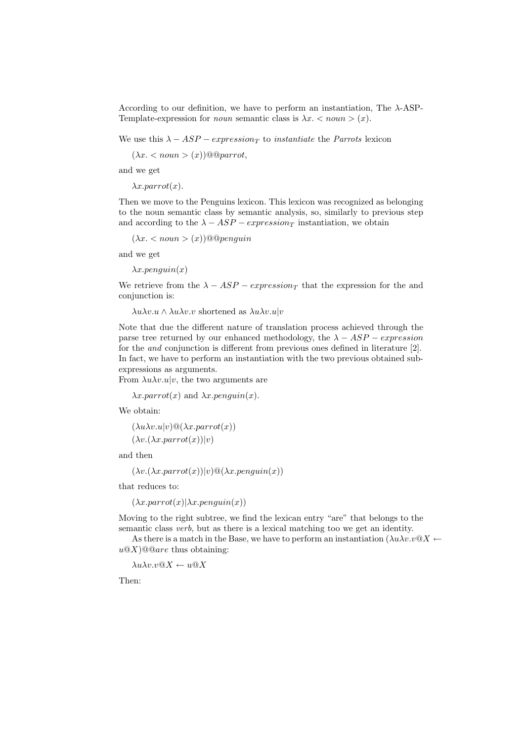According to our definition, we have to perform an instantiation, The  $\lambda$ -ASP-Template-expression for *noun* semantic class is  $\lambda x$ .  $\langle n \rangle$  noun  $\langle n \rangle$ .

We use this  $\lambda - ASP - expression_T$  to *instantiate* the *Parrots* lexicon

 $(\lambda x. < noun>(x))@@parrot,$ 

and we get

 $\lambda x.parent(x)$ .

Then we move to the Penguins lexicon. This lexicon was recognized as belonging to the noun semantic class by semantic analysis, so, similarly to previous step and according to the  $\lambda - ASP - expression_T$  instantiation, we obtain

 $(\lambda x. < noun > (x))$ @@penguin

and we get

 $\lambda x.$ *penguin(x)* 

We retrieve from the  $\lambda - ASP - expression_T$  that the expression for the and conjunction is:

λuλv.u ∧ λuλv.v shortened as λuλv.u|v

Note that due the different nature of translation process achieved through the parse tree returned by our enhanced methodology, the  $\lambda - ASP - expression$ for the and conjunction is different from previous ones defined in literature [2]. In fact, we have to perform an instantiation with the two previous obtained subexpressions as arguments.

From  $\lambda u \lambda v.u$ , the two arguments are

 $\lambda x.parrot(x)$  and  $\lambda x.penguin(x)$ .

We obtain:

 $(\lambda u \lambda v.u|v) \mathcal{Q}(\lambda x . part(x))$ 

 $(\lambda v.(\lambda x.parrot(x))|v)$ 

and then

 $(\lambda v.(\lambda x.parrot(x))|v) \mathcal{Q}(\lambda x.penquin(x))$ 

that reduces to:

 $(\lambda x.parrot(x)|\lambda x.penquin(x))$ 

Moving to the right subtree, we find the lexican entry "are" that belongs to the semantic class verb, but as there is a lexical matching too we get an identity.

As there is a match in the Base, we have to perform an instantiation  $(\lambda u \lambda v \cdot v \mathbb{Q}X \leftarrow$  $u@X)@@are$  thus obtaining:

 $\lambda u \lambda v.v@X \leftarrow u@X$ 

Then: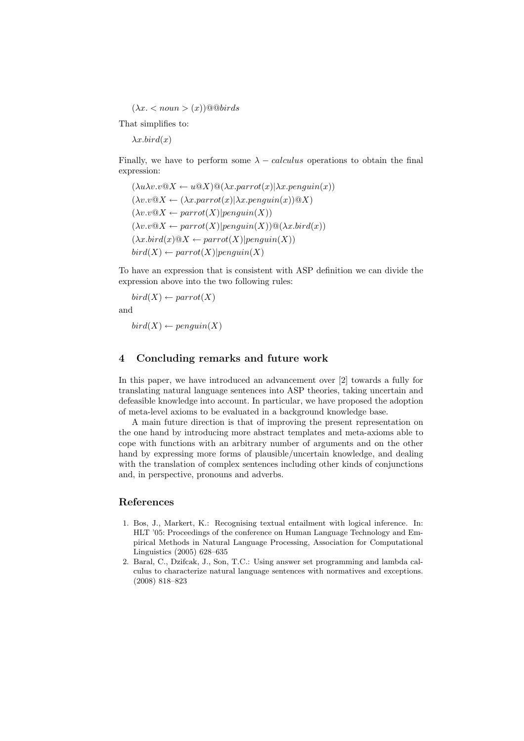$(\lambda x. < noun > (x))$ @@birds

That simplifies to:

 $\lambda x. bird(x)$ 

Finally, we have to perform some  $\lambda - \text{calculus}$  operations to obtain the final expression:

 $(\lambda u \lambda v.v \mathbb{Q}X \leftarrow u \mathbb{Q}X) \mathbb{Q}(\lambda x.parrow(x)|\lambda x.penguin(x))$  $(\lambda v.v \mathbb{Q}X \leftarrow (\lambda x . \text{parrot}(x) | \lambda x . \text{penquin}(x)) \mathbb{Q}X)$  $(\lambda v.v@X \leftarrow parrot(X)|penguin(X))$  $(\lambda v.v@X \leftarrow parrot(X)|penguin(X))@(\lambda x.bird(x))$  $(\lambda x \cdot \text{bird}(x) \mathbb{Q}X \leftarrow \text{parrot}(X)|\text{penquin}(X))$  $bird(X) \leftarrow parrot(X)|penguin(X)$ 

To have an expression that is consistent with ASP definition we can divide the expression above into the two following rules:

 $bird(X) \leftarrow parrot(X)$ and

 $bird(X) \leftarrow penquin(X)$ 

# 4 Concluding remarks and future work

In this paper, we have introduced an advancement over [2] towards a fully for translating natural language sentences into ASP theories, taking uncertain and defeasible knowledge into account. In particular, we have proposed the adoption of meta-level axioms to be evaluated in a background knowledge base.

A main future direction is that of improving the present representation on the one hand by introducing more abstract templates and meta-axioms able to cope with functions with an arbitrary number of arguments and on the other hand by expressing more forms of plausible/uncertain knowledge, and dealing with the translation of complex sentences including other kinds of conjunctions and, in perspective, pronouns and adverbs.

# References

- 1. Bos, J., Markert, K.: Recognising textual entailment with logical inference. In: HLT '05: Proceedings of the conference on Human Language Technology and Empirical Methods in Natural Language Processing, Association for Computational Linguistics (2005) 628–635
- 2. Baral, C., Dzifcak, J., Son, T.C.: Using answer set programming and lambda calculus to characterize natural language sentences with normatives and exceptions. (2008) 818–823